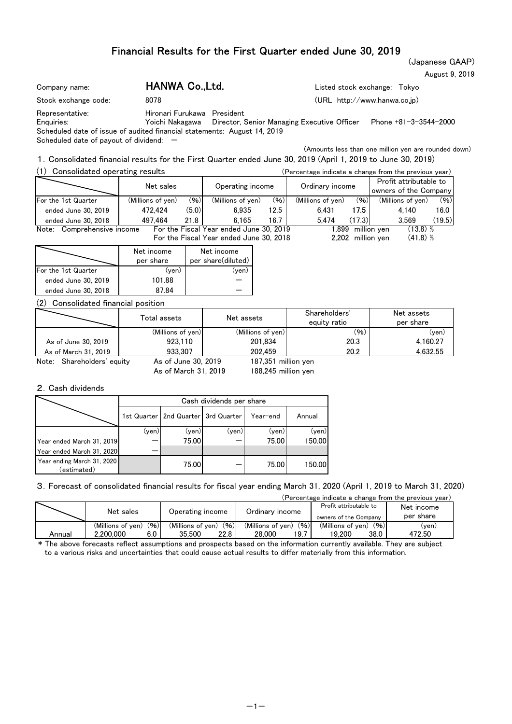## Financial Results for the First Quarter ended June 30, 2019

(Japanese GAAP) August 9, 2019

| 8078 |                                                                                                                            |                                                                                                                               |
|------|----------------------------------------------------------------------------------------------------------------------------|-------------------------------------------------------------------------------------------------------------------------------|
|      |                                                                                                                            |                                                                                                                               |
|      |                                                                                                                            | Phone +81-3-3544-2000                                                                                                         |
|      | HANWA Co., Ltd.<br>Hironari Furukawa President<br>Scheduled date of issue of audited financial statements: August 14, 2019 | Listed stock exchange: Tokyo<br>$(URL http://www.hanwa.co.io)$<br>Yoichi Nakagawa Director, Senior Managing Executive Officer |

Scheduled date of payout of dividend:  $-$ 

(Amounts less than one million yen are rounded down)

1.Consolidated financial results for the First Quarter ended June 30, 2019 (April 1, 2019 to June 30, 2019)

| (1)<br>Consolidated operating results |                   |       |                                         |                 |                   |                                                 | (Percentage indicate a change from the previous year) |        |
|---------------------------------------|-------------------|-------|-----------------------------------------|-----------------|-------------------|-------------------------------------------------|-------------------------------------------------------|--------|
|                                       | Net sales         |       | Operating income                        | Ordinary income |                   | Profit attributable to<br>owners of the Company |                                                       |        |
| For the 1st Quarter                   | (Millions of yen) | (96)  | (Millions of yen)                       | (96)            | (Millions of yen) | (96)                                            | (Millions of yen)                                     | (96)   |
| ended June 30, 2019                   | 472.424           | (5.0) | 6.935                                   | 12.5            | 6.431             | 17.5                                            | 4.140                                                 | 16.0   |
| ended June 30, 2018                   | 497.464           | 21.8  | 6.165                                   | 16.7            | 5.474             | (17.3)                                          | 3.569                                                 | (19.5) |
| Note: Comprehensive income            |                   |       | For the Fiscal Year ended June 30, 2019 |                 | l.899             |                                                 | $(13.8)$ %<br>million ven                             |        |
|                                       |                   |       | For the Fiscal Year ended June 30, 2018 |                 |                   | 2.202 million ven                               | $(41.8)$ %                                            |        |

|                     | Net income<br>per share | Net income<br>per share(diluted) |
|---------------------|-------------------------|----------------------------------|
| For the 1st Quarter | (yen)                   | ven.                             |
| ended June 30, 2019 | 101.88                  |                                  |
| ended June 30, 2018 | 87.84                   |                                  |

## (2) Consolidated financial position

|                               | Total assets        | Shareholders'<br>Net assets<br>equity ratio |      | Net assets<br>per share |
|-------------------------------|---------------------|---------------------------------------------|------|-------------------------|
|                               | (Millions of yen)   | (Millions of yen)                           | (96) | (yen)                   |
| As of June 30, 2019           | 923.110             | 201.834                                     | 20.3 | 4.160.27                |
| As of March 31, 2019          | 933.307             | 202.459                                     | 20.2 | 4.632.55                |
| Shareholders' equity<br>Note: | As of June 30, 2019 | 187.351 million ven                         |      |                         |

As of March 31, 2019

187,351 188,245 million yen

#### 2.Cash dividends

|                                           | Cash dividends per share |                                         |       |          |        |  |  |  |  |
|-------------------------------------------|--------------------------|-----------------------------------------|-------|----------|--------|--|--|--|--|
|                                           |                          | 1st Quarter   2nd Quarter   3rd Quarter |       | Year-end | Annual |  |  |  |  |
|                                           | (yen)                    | (yen)                                   | (yen) | (yen)    | (yen)  |  |  |  |  |
| Year ended March 31, 2019                 |                          | 75.00                                   |       | 75.00    | 150.00 |  |  |  |  |
| Year ended March 31, 2020                 |                          |                                         |       |          |        |  |  |  |  |
| Year ending March 31, 2020<br>(estimated) |                          | 75.00                                   |       | 75.00    | 150.00 |  |  |  |  |

#### 3.Forecast of consolidated financial results for fiscal year ending March 31, 2020 (April 1, 2019 to March 31, 2020)

(Percentage indicate a change from the previous year) (Millions of yen) (%) (Millions of yen) (%) (Millions of yen) (%)<br>2,200,000 6.0 35,500 22.8 28,000 19.7 19,200 38.0 (yen)<br>472.50 Profit attributable to owners of the Company Ordinary income Annual 2,200,000 6.0 35,500 22.8 28,000 19.7 19,200 38.0 Net sales 19,200 38.0 2,200,000 6.0 35,500 22.8 Net income Operating income Ordinary income over so the Company per share

\* The above forecasts reflect assumptions and prospects based on the information currently available. They are subject to a various risks and uncertainties that could cause actual results to differ materially from this information.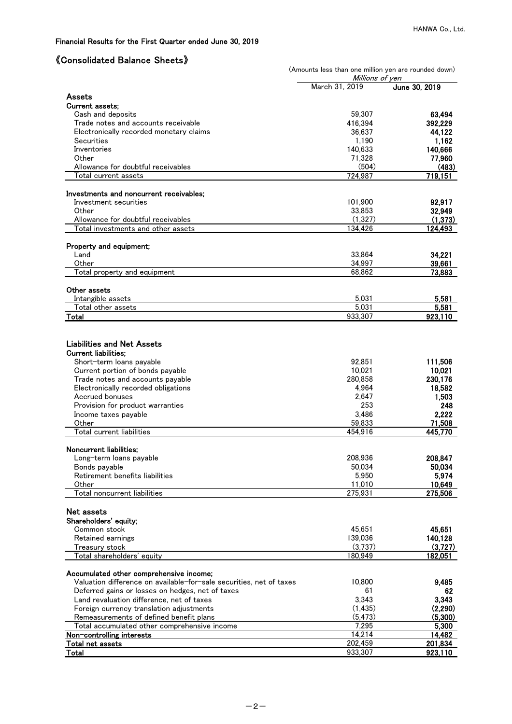# 《Consolidated Balance Sheets》

|                                                                                                                | (Amounts less than one million yen are rounded down)<br>Millions of yen |                 |  |  |  |  |
|----------------------------------------------------------------------------------------------------------------|-------------------------------------------------------------------------|-----------------|--|--|--|--|
|                                                                                                                | March 31, 2019                                                          | June 30, 2019   |  |  |  |  |
| <b>Assets</b>                                                                                                  |                                                                         |                 |  |  |  |  |
| <b>Current assets;</b>                                                                                         |                                                                         |                 |  |  |  |  |
| Cash and deposits                                                                                              | 59,307                                                                  | 63.494          |  |  |  |  |
| Trade notes and accounts receivable                                                                            | 416,394                                                                 | 392,229         |  |  |  |  |
| Electronically recorded monetary claims                                                                        | 36,637                                                                  | 44,122          |  |  |  |  |
| Securities                                                                                                     | 1,190                                                                   | 1,162           |  |  |  |  |
| Inventories                                                                                                    | 140,633                                                                 | 140,666         |  |  |  |  |
| Other                                                                                                          | 71,328                                                                  | 77,960          |  |  |  |  |
| Allowance for doubtful receivables<br>Total current assets                                                     | (504)                                                                   | (483)           |  |  |  |  |
|                                                                                                                | 724,987                                                                 | 719,151         |  |  |  |  |
| Investments and noncurrent receivables;                                                                        |                                                                         |                 |  |  |  |  |
| Investment securities                                                                                          | 101,900                                                                 | 92,917          |  |  |  |  |
| Other                                                                                                          | 33,853                                                                  | 32,949          |  |  |  |  |
| Allowance for doubtful receivables                                                                             | (1,327)                                                                 | (1, 373)        |  |  |  |  |
| Total investments and other assets                                                                             | 134,426                                                                 | 124,493         |  |  |  |  |
| Property and equipment;                                                                                        |                                                                         |                 |  |  |  |  |
| Land                                                                                                           | 33,864                                                                  | 34.221          |  |  |  |  |
| Other                                                                                                          | 34,997                                                                  | 39,661          |  |  |  |  |
| Total property and equipment                                                                                   | 68,862                                                                  | 73,883          |  |  |  |  |
|                                                                                                                |                                                                         |                 |  |  |  |  |
| Other assets                                                                                                   |                                                                         |                 |  |  |  |  |
| Intangible assets                                                                                              | 5,031                                                                   | 5,581           |  |  |  |  |
| Total other assets                                                                                             | 5,031<br>933,307                                                        | 5,581           |  |  |  |  |
| Total                                                                                                          |                                                                         | 923,110         |  |  |  |  |
| <b>Liabilities and Net Assets</b><br><b>Current liabilities:</b><br>Short-term loans payable                   | 92,851                                                                  | 111,506         |  |  |  |  |
| Current portion of bonds payable                                                                               | 10,021                                                                  | 10,021          |  |  |  |  |
| Trade notes and accounts payable                                                                               | 280,858                                                                 | 230,176         |  |  |  |  |
| Electronically recorded obligations                                                                            | 4,964                                                                   | 18,582          |  |  |  |  |
| Accrued bonuses                                                                                                | 2,647                                                                   | 1,503           |  |  |  |  |
| Provision for product warranties                                                                               | 253<br>3,486                                                            | 248             |  |  |  |  |
| Income taxes payable<br>Other                                                                                  | 59,833                                                                  | 2,222<br>71,508 |  |  |  |  |
| Total current liabilities                                                                                      | 454.916                                                                 | 445,770         |  |  |  |  |
|                                                                                                                |                                                                         |                 |  |  |  |  |
| Noncurrent liabilities;                                                                                        |                                                                         |                 |  |  |  |  |
| Long-term loans payable                                                                                        | 208,936                                                                 | 208,847         |  |  |  |  |
| Bonds payable<br>Retirement benefits liabilities                                                               | 50,034<br>5,950                                                         | 50,034<br>5,974 |  |  |  |  |
| Other                                                                                                          | 11,010                                                                  | 10,649          |  |  |  |  |
| Total noncurrent liabilities                                                                                   | 275,931                                                                 | 275,506         |  |  |  |  |
|                                                                                                                |                                                                         |                 |  |  |  |  |
| Net assets                                                                                                     |                                                                         |                 |  |  |  |  |
| Shareholders' equity;                                                                                          |                                                                         |                 |  |  |  |  |
| Common stock                                                                                                   | 45,651                                                                  | 45,651          |  |  |  |  |
| Retained earnings                                                                                              | 139,036                                                                 | 140,128         |  |  |  |  |
| Treasury stock                                                                                                 | (3,737)                                                                 | (3,727)         |  |  |  |  |
| Total shareholders' equity                                                                                     | 180,949                                                                 | <u>182,051</u>  |  |  |  |  |
| Accumulated other comprehensive income;<br>Valuation difference on available-for-sale securities, net of taxes | 10,800                                                                  | 9,485           |  |  |  |  |
| Deferred gains or losses on hedges, net of taxes                                                               | 61                                                                      | 62              |  |  |  |  |
| Land revaluation difference, net of taxes                                                                      | 3,343                                                                   | 3,343           |  |  |  |  |
| Foreign currency translation adjustments                                                                       | (1, 435)                                                                | (2,290)         |  |  |  |  |
| Remeasurements of defined benefit plans                                                                        | (5, 473)                                                                | (5,300)         |  |  |  |  |
| Total accumulated other comprehensive income                                                                   | 7,295                                                                   | 5,300           |  |  |  |  |
| Non-controlling interests                                                                                      | 14,214                                                                  | 14,482          |  |  |  |  |
| Total net assets                                                                                               | 202,459                                                                 | 201,834         |  |  |  |  |
| Total                                                                                                          | 933,307                                                                 | 923,110         |  |  |  |  |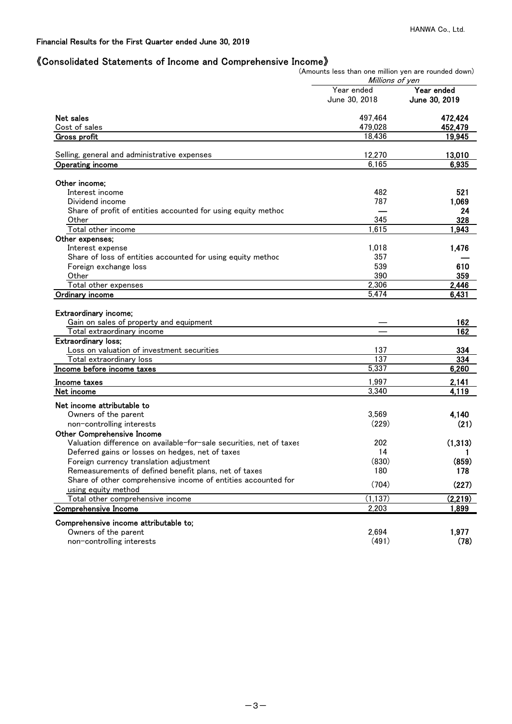## 《Consolidated Statements of Income and Comprehensive Income》

(Amounts less than one million yen are rounded down)

|                                                                                                | Millions of yen |               |
|------------------------------------------------------------------------------------------------|-----------------|---------------|
|                                                                                                | Year ended      | Year ended    |
|                                                                                                | June 30, 2018   | June 30, 2019 |
| Net sales                                                                                      | 497,464         | 472,424       |
| Cost of sales                                                                                  | 479,028         | 452,479       |
| Gross profit                                                                                   | 18,436          | 19,945        |
|                                                                                                |                 |               |
| Selling, general and administrative expenses                                                   | 12,270          | 13,010        |
| <b>Operating income</b>                                                                        | 6,165           | 6,935         |
| Other income:                                                                                  |                 |               |
| Interest income                                                                                | 482             | 521           |
| Dividend income                                                                                | 787             | 1,069         |
| Share of profit of entities accounted for using equity methoc                                  |                 | 24            |
| Other                                                                                          | 345             | 328           |
| Total other income                                                                             | 1,615           | 1.943         |
| Other expenses;                                                                                |                 |               |
| Interest expense                                                                               | 1,018           | 1.476         |
| Share of loss of entities accounted for using equity methoc                                    | 357             |               |
| Foreign exchange loss                                                                          | 539             | 610           |
| Other                                                                                          | 390             | 359           |
| Total other expenses                                                                           | 2,306           | 2,446         |
| <b>Ordinary income</b>                                                                         | 5.474           | 6,431         |
| Extraordinary income;<br>Gain on sales of property and equipment<br>Total extraordinary income |                 | 162<br>162    |
| <b>Extraordinary loss;</b>                                                                     |                 |               |
| Loss on valuation of investment securities                                                     | 137             | 334           |
| Total extraordinary loss                                                                       | 137             | 334           |
| Income before income taxes                                                                     | 5,337           | 6,260         |
| Income taxes                                                                                   | 1,997           | 2,141         |
| Net income                                                                                     | 3,340           | 4.119         |
| Net income attributable to                                                                     |                 |               |
| Owners of the parent                                                                           | 3,569           | 4,140         |
| non-controlling interests                                                                      | (229)           | (21)          |
| <b>Other Comprehensive Income</b>                                                              |                 |               |
| Valuation difference on available-for-sale securities, net of taxes                            | 202             | (1,313)       |
| Deferred gains or losses on hedges, net of taxes                                               | 14              | 1             |
| Foreign currency translation adjustment                                                        | (830)           | (859)         |
| Remeasurements of defined benefit plans, net of taxes                                          | 180             | 178           |
| Share of other comprehensive income of entities accounted for                                  |                 |               |
| using equity method                                                                            | (704)           | (227)         |
| Total other comprehensive income                                                               | (1, 137)        | (2,219)       |
| <b>Comprehensive Income</b>                                                                    | 2,203           | 1,899         |
| Comprehensive income attributable to;                                                          |                 |               |
| Owners of the parent                                                                           | 2,694           | 1,977         |
| non-controlling interests                                                                      | (491)           | (78)          |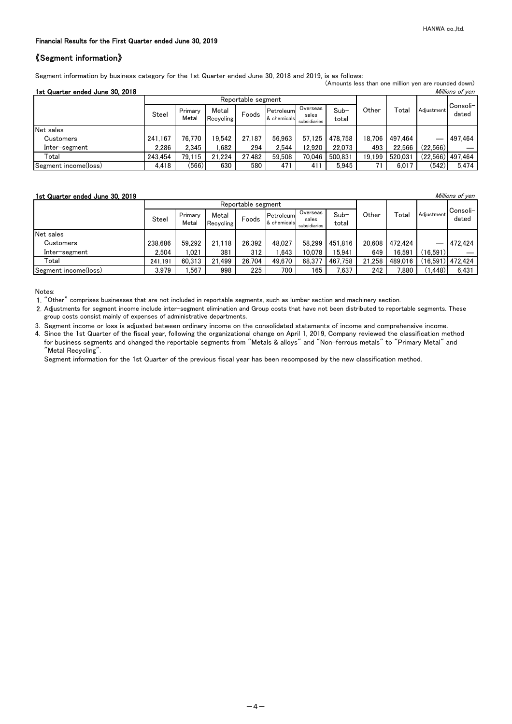#### Financial Results for the First Quarter ended June 30, 2019

#### 《Segment information》

Segment information by business category for the 1st Quarter ended June 30, 2018 and 2019, is as follows: (Amounts less than one million yen are rounded down)

| 1st Quarter ended June 30, 2018 |  |  |
|---------------------------------|--|--|

| 1st Quarter ended June 30, 2018 |         |                  |                             |                    |                          |                                   |                 |        |         |            | Millions of yen    |
|---------------------------------|---------|------------------|-----------------------------|--------------------|--------------------------|-----------------------------------|-----------------|--------|---------|------------|--------------------|
|                                 |         |                  |                             | Reportable segment |                          |                                   |                 |        |         |            |                    |
|                                 | Steel   | Primary<br>Metal | Metal<br>Foods<br>Recycling |                    | Petroleum<br>& chemicals | Overseas<br>sales<br>subsidiaries | $Sub-$<br>total | Other  | Total   | Adiustment | Consoli-<br>dated  |
| Net sales                       |         |                  |                             |                    |                          |                                   |                 |        |         |            |                    |
| Customers                       | 241.167 | 76.770           | 19.542                      | 27.187             | 56.963                   | 57.125                            | 478.758         | 18.706 | 497.464 |            | 497.464            |
| Inter-segment                   | 2.286   | 2.345            | .682                        | 294                | 2.544                    | 12.920                            | 22.073          | 493    | 22.566  | (22.566)   |                    |
| Total                           | 243.454 | 79.115           | 21.224                      | 27.482             | 59.508                   | 70.046                            | 500.831         | 19.199 | 520.031 |            | $(22.566)$ 497.464 |
| Segment income(loss)            | 4,418   | (566)            | 630                         | 580                | 471                      | 411                               | 5,945           | 71     | 6,017   | (542)      | 5,474              |

#### **1st Quarter ended June 30, 2019 Millions of yen**

|                      |         | Reportable segment |                    |        |                          |                                   |                 |        |         |            |                   |
|----------------------|---------|--------------------|--------------------|--------|--------------------------|-----------------------------------|-----------------|--------|---------|------------|-------------------|
|                      | Steel   | Primary<br>Metal   | Metal<br>Recycling | Foods  | Petroleum<br>& chemicals | Overseas<br>sales<br>subsidiaries | $Sub-$<br>total | Other  | Total   | Adiustment | Consoli-<br>dated |
| Net sales            |         |                    |                    |        |                          |                                   |                 |        |         |            |                   |
| Customers            | 238.686 | 59.292             | 21.118             | 26.392 | 48.027                   | 58.299                            | 451.816         | 20.608 | 472.424 |            | 472.424           |
| Inter-segment        | 2.504   | .021               | 381                | 312    | .643                     | 10.078                            | 15.941          | 649    | 16.591  | (16.591)   |                   |
| Total                | 241.191 | 60.313             | 21.499             | 26.704 | 49.670                   | 68.377                            | 467.758         | 21.258 | 489.016 |            | (16,591) 472,424  |
| Segment income(loss) | 3,979   | .567               | 998                | 225    | 700                      | 165                               | 7,637           | 242    | 880.'   | (1.448)    | 6,431             |

Notes:

1. "Other" comprises businesses that are not included in reportable segments, such as lumber section and machinery section.

2. Adjustments for segment income include inter-segment elimination and Group costs that have not been distributed to reportable segments. These group costs consist mainly of expenses of administrative departments.

3. Segment income or loss is adjusted between ordinary income on the consolidated statements of income and comprehensive income. 4. Since the 1st Quarter of the fiscal year, following the organizational change on April 1, 2019, Company reviewed the classification method for business segments and changed the reportable segments from "Metals & alloys" and "Non-ferrous metals" to "Primary Metal" and "Metal Recycling".

Segment information for the 1st Quarter of the previous fiscal year has been recomposed by the new classification method.